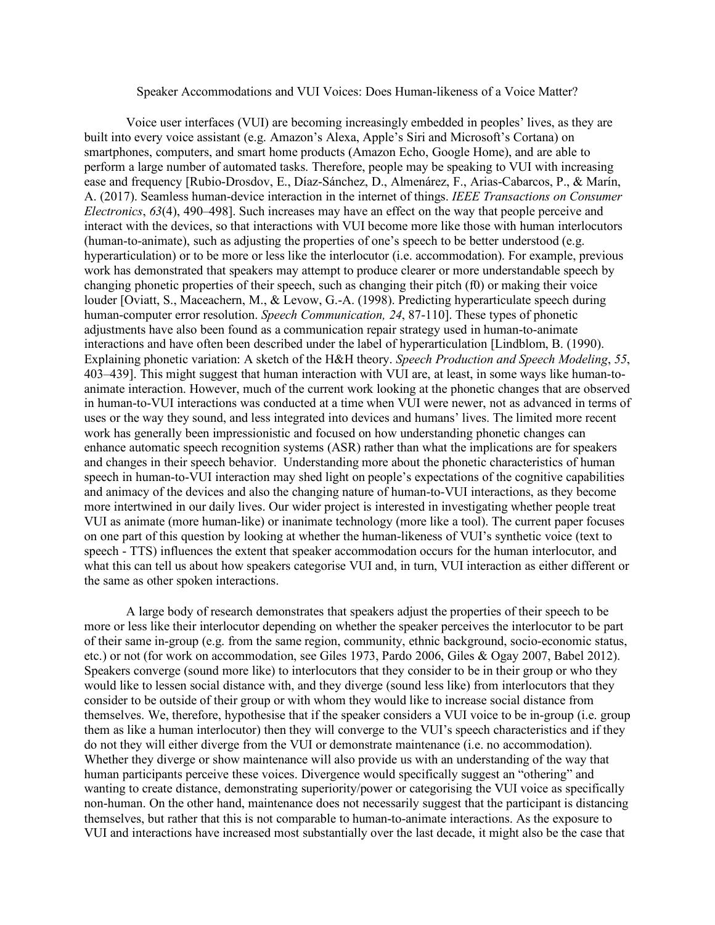## Speaker Accommodations and VUI Voices: Does Human-likeness of a Voice Matter?

Voice user interfaces (VUI) are becoming increasingly embedded in peoples' lives, as they are built into every voice assistant (e.g. Amazon's Alexa, Apple's Siri and Microsoft's Cortana) on smartphones, computers, and smart home products (Amazon Echo, Google Home), and are able to perform a large number of automated tasks. Therefore, people may be speaking to VUI with increasing ease and frequency [Rubio-Drosdov, E., Díaz-Sánchez, D., Almenárez, F., Arias-Cabarcos, P., & Marín, A. (2017). Seamless human-device interaction in the internet of things. *IEEE Transactions on Consumer Electronics*, *63*(4), 490–498]. Such increases may have an effect on the way that people perceive and interact with the devices, so that interactions with VUI become more like those with human interlocutors (human-to-animate), such as adjusting the properties of one's speech to be better understood (e.g. hyperarticulation) or to be more or less like the interlocutor (i.e. accommodation). For example, previous work has demonstrated that speakers may attempt to produce clearer or more understandable speech by changing phonetic properties of their speech, such as changing their pitch (f0) or making their voice louder [Oviatt, S., Maceachern, M., & Levow, G.-A. (1998). Predicting hyperarticulate speech during human-computer error resolution. *Speech Communication, 24*, 87-110]. These types of phonetic adjustments have also been found as a communication repair strategy used in human-to-animate interactions and have often been described under the label of hyperarticulation [Lindblom, B. (1990). Explaining phonetic variation: A sketch of the H&H theory. *Speech Production and Speech Modeling*, *55*, 403–439]. This might suggest that human interaction with VUI are, at least, in some ways like human-toanimate interaction. However, much of the current work looking at the phonetic changes that are observed in human-to-VUI interactions was conducted at a time when VUI were newer, not as advanced in terms of uses or the way they sound, and less integrated into devices and humans' lives. The limited more recent work has generally been impressionistic and focused on how understanding phonetic changes can enhance automatic speech recognition systems (ASR) rather than what the implications are for speakers and changes in their speech behavior. Understanding more about the phonetic characteristics of human speech in human-to-VUI interaction may shed light on people's expectations of the cognitive capabilities and animacy of the devices and also the changing nature of human-to-VUI interactions, as they become more intertwined in our daily lives. Our wider project is interested in investigating whether people treat VUI as animate (more human-like) or inanimate technology (more like a tool). The current paper focuses on one part of this question by looking at whether the human-likeness of VUI's synthetic voice (text to speech - TTS) influences the extent that speaker accommodation occurs for the human interlocutor, and what this can tell us about how speakers categorise VUI and, in turn, VUI interaction as either different or the same as other spoken interactions.

A large body of research demonstrates that speakers adjust the properties of their speech to be more or less like their interlocutor depending on whether the speaker perceives the interlocutor to be part of their same in-group (e.g. from the same region, community, ethnic background, socio-economic status, etc.) or not (for work on accommodation, see Giles 1973, Pardo 2006, Giles & Ogay 2007, Babel 2012). Speakers converge (sound more like) to interlocutors that they consider to be in their group or who they would like to lessen social distance with, and they diverge (sound less like) from interlocutors that they consider to be outside of their group or with whom they would like to increase social distance from themselves. We, therefore, hypothesise that if the speaker considers a VUI voice to be in-group (i.e. group them as like a human interlocutor) then they will converge to the VUI's speech characteristics and if they do not they will either diverge from the VUI or demonstrate maintenance (i.e. no accommodation). Whether they diverge or show maintenance will also provide us with an understanding of the way that human participants perceive these voices. Divergence would specifically suggest an "othering" and wanting to create distance, demonstrating superiority/power or categorising the VUI voice as specifically non-human. On the other hand, maintenance does not necessarily suggest that the participant is distancing themselves, but rather that this is not comparable to human-to-animate interactions. As the exposure to VUI and interactions have increased most substantially over the last decade, it might also be the case that